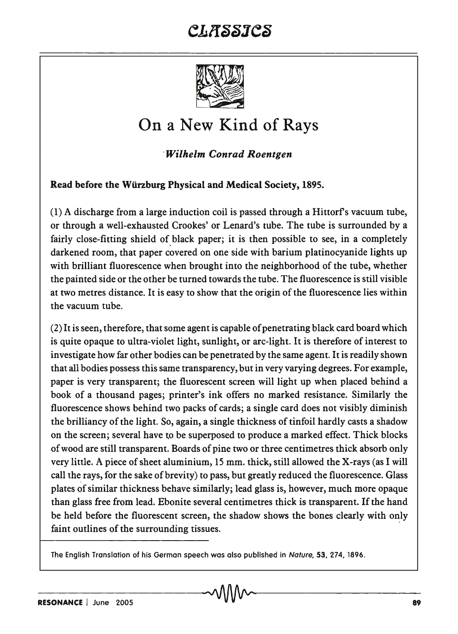

#### On a New Kind of Rays

*'Wilhelm Conrad Roentgen* 

#### Read before the Wiirzburg Physical and Medical Society, 1895.

(1) A discharge from a large induction coil is passed through a Hittorfs vacuum tube, or through a well-exhausted Crookes' or Lenard's tube. The tube is surrounded by a fairly close-fitting shield of black paper; it is then possible to see, in a completely darkened room, that paper covered on one side with barium platinocyanide lights up with brilliant fluorescence when brought into the neighborhood of the tube, whether the painted side or the other be turned towards the tube. The fluorescence is still visible at two metres distance. It is easy to show that the origin of the fluorescence lies within the vacuum tube.

(2) It is seen, therefore, that some agent is capable of penetrating black card board which is quite opaque to ultra-violet light, sunlight, or arc-light. It is therefore of interest to investigate how far other bodies can be penetrated by the same agent. It is readily shown that all bodies possess this same transparency, but in very varying degrees. For example, paper is very transparent; the fluorescent screen will light up when placed behind a book of a thousand pages; printer's ink offers no marked resistance. Similarly the fluorescence shows behind two packs of cards; a single card does not visibly diminish the brilliancy of the light. So, again, a single thickness of tinfoil hardly casts a shadow on the screen; several have to be superposed to produce a marked effect. Thick blocks of wood are still transparent. Boards of pine two or three centimetres thick absorb only very little. A piece of sheet aluminium, 15 mm. thick, still allowed the X-rays (as I will call the rays, for the sake of brevity) to pass, but greatly reduced the fluorescence. Glass plates of similar thickness behave similarly; lead glass is, however, much more opaque than glass free from lead. Ebonite several centimetres thick is transparent. If the hand be held before the fluorescent screen, the shadow shows the bones clearly with only faint outlines of the surrounding tissues.

The English Translation of his German speech was also published in Nature, 53, 274, 1896,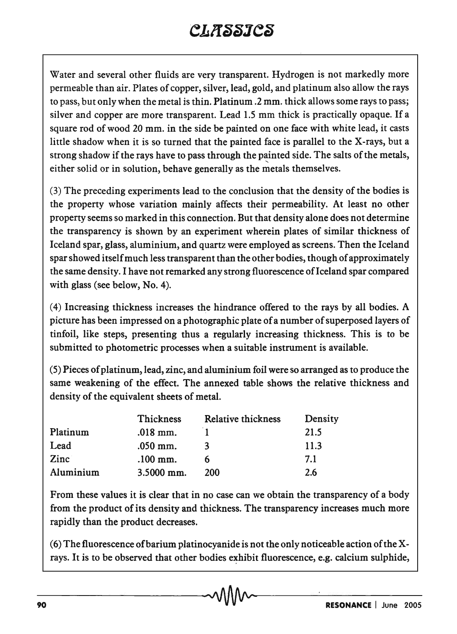Water and several other fluids are very transparent. Hydrogen is not markedly more permeable than air. Plates of copper, silver, lead, gold, and platinum also allow the rays to pass, but only when the metal is thin. Platinum .2 mm. thick allows some rays to pass; silver and copper are more transparent. Lead I.S mm thick is practically opaque. If a square rod of wood 20 mm. in the side be painted on one face with white lead, it casts little shadow when it is so turned that the painted face is parallel to the X-rays, but a strong shadow if the rays have to pass through the painted side. The salts of the metals, either solid or in solution, behave generally as the metals themselves.

(3) The preceding experiments lead to the conclusion that the density of the bodies is the property whose variation mainly affects their permeability. At least no other property seems so marked in this connection. But that density alone does not determine the transparency is shown by an experiment wherein plates of similar thickness of Iceland spar, glass, aluminium, and quartz were employed as screens. Then the Iceland spar showed itself much less transparent than the other bodies, though of approximately the same density. I have not remarked any strong fluorescence of Iceland spar compared with glass (see below, No.4).

( 4) Increasing thickness increases the hindrance offered to the rays by all bodies. A picture has been impressed on a photographic plate of a number of superposed layers of tinfoil, like steps, presenting thus a regularly increasing thickness. This is to be submitted to photometric processes when a suitable instrument is available.

(S) Pieces of platinum, lead, zinc, and aluminium foil were so arranged as to produce the same weakening of the effect. The annexed table shows the relative thickness and density of the equivalent sheets of metal.

|                   | <b>Thickness</b> | <b>Relative thickness</b> | Density |
|-------------------|------------------|---------------------------|---------|
| Platinum          | $.018$ mm.       |                           | 21.5    |
| Lead              | $.050$ mm.       |                           | 11.3    |
| Zinc <sup>1</sup> | $.100$ mm.       | h                         | 7.1     |
| Aluminium         | $3.5000$ mm.     | 200                       | 2.6     |

From these values it is clear that in no case can we obtain the transparency of a body from the product of its density and thickness. The transparency increases much more rapidly than the product decreases.

(6) The fluorescence of barium platinocyanide is not the only noticeable action of the Xrays. It is to be observed that other bodies exhibit fluorescence, e.g. calcium sulphide,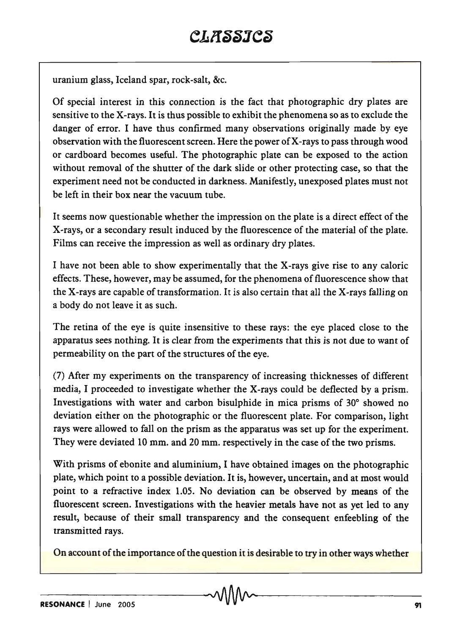uranium glass, Iceland spar, rock-salt, &c.

Of special interest in this connection is the fact that photographic dry plates are sensitive to the X-rays. It is thus possible to exhibit the phenomena so as to exclude the danger of error. I have thus confirmed many observations originally made by eye observation with the fluorescent screen. Here the power of X-rays to pass through wood or cardboard becomes useful. The photographic plate can be exposed to the action without removal of the shutter of the dark slide or other protecting case, so that the experiment need not be conducted in darkness. Manifestly, unexposed plates must not be left in their box near the vacuum tube.

It seems now questionable whether the impression on the plate is a direct effect of the X-rays, or a secondary result induced by the fluorescence of the material of the plate. Films can receive the impression as well as ordinary dry plates.

I have not been able to show experimentally that the X-rays give rise to any caloric effects. These, however, may be assumed, for the phenomena of fluorescence show that the X-rays are capable of transformation. It is also certain that all the X-rays falling on a body do not leave it as such.

The retina of the eye is quite insensitive to these rays: the eye placed close to the apparatus sees nothing. It is clear from the experiments that this is not due to want of permeability on the part of the structures of the eye.

(7) After my experiments on the transparency of increasing thicknesses of different media, I proceeded to investigate whether the X-rays could be deflected by a prism. Investigations with water and carbon bisulphide in mica prisms of 30° showed no deviation either on the photographic or the fluorescent plate. For comparison, light rays were allowed to fall on the prism as the apparatus was set up for the experiment. They were deviated 10 mm. and 20 mm. respectively in the case of the two prisms.

With prisms of ebonite and aluminium, I have obtained images on the photographic plate, which point to a possible deviation. It is, however, uncertain, and at most would point to a refractive index 1.05. No deviation can be observed by means of the fluorescent screen. Investigations with the heavier metals have not as yet led to any result, because of their small transparency and the consequent enfeebling of the transmitted rays.

On account of the importance of the question it is desirable to try in other ways whether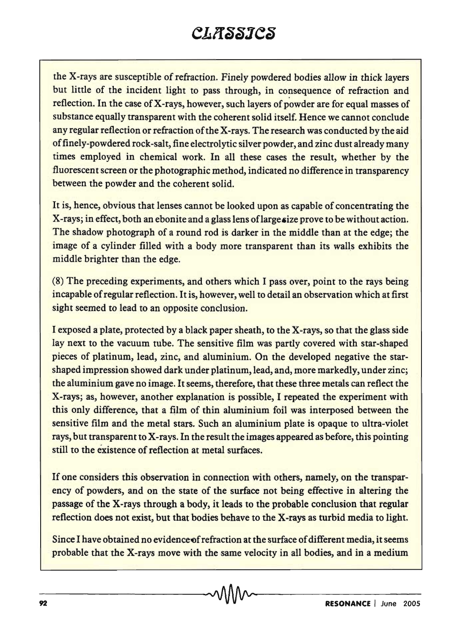the X-rays are susceptible of refraction. Finely powdered bodies allow in thick layers but little of the incident light to pass through, in consequence of refraction and reflection. In the case of X-rays, however, such layers of powder are for equal masses of substance equally transparent with the coherent solid itself. Hence we cannot conclude any regular reflection or refraction of the X-rays. The research was conducted by the aid of finely-powdered rock-salt, fine electrolytic silver powder, and zinc dust already many times employed in chemical work. In all these cases the result, whether by the fluorescent screen or the photographic method, indicated no difference in transparency between the powder and the coherent solid.

It is, hence, obvious that lenses cannot be looked upon as capable of concentrating the X-rays; in effect, both an ebonite and a glass lens of large size prove to be without action. The shadow photograph of a round rod is darker in the middle than at the edge; the image of a cylinder filled with a body more transparent than its walls exhibits the middle brighter than the edge.

(8) The preceding experiments, and others which I pass over, point to the rays being incapable of regular reflection. It is, however, well to detail an observation which at first sight seemed to lead to an opposite conclusion.

I exposed a plate, protected by a black paper sheath, to the X-rays, so that the glass side lay next to the vacuum tube. The sensitive film was partly covered with star-shaped pieces of platinum, lead, zinc, and aluminium. On the developed negative the starshaped impression showed dark under platinum, lead, and, more markedly, under zinc; the aluminium gave no image. It seems, therefore, that these three metals can reflect the X-rays; as, however, another explanation is possible, I repeated the experiment with this only difference, that a film of thin aluminium foil was interposed between the sensitive film and the metal stars. Such an aluminium plate is opaque to ultra-violet rays, but transparent to X-rays. In the result the images appeared as before, this pointing still to the existence of reflection at metal surfaces.

If one considers this observation in connection with others, namely, on the transparency of powders, and on the state of the surface not being effective in altering the passage of the X-rays through a body, it leads to the probable conclusion that regular reflection does not exist, but that bodies behave to the X-rays as turbid media to light.

Since I have obtained no evidence of refraction at the surface of different media, it seems probable that the X-rays move with the same velocity in all bodies, and in a medium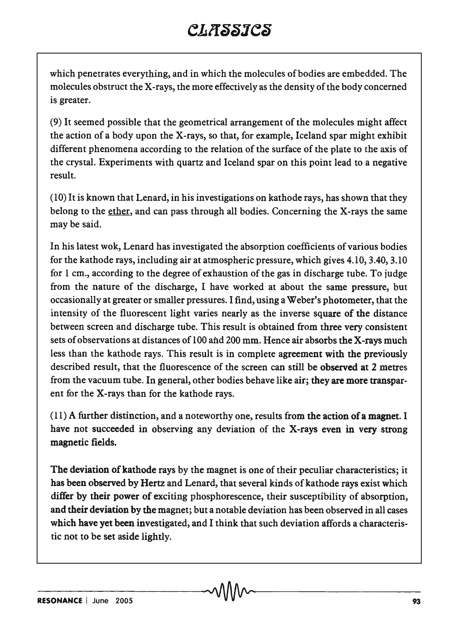which penetrates everything, and in which the molecules of bodies are embedded. The molecules obstruct the X-rays, the more effectively as the density of the body concerned is greater.

(9) It seemed possible that the geometrical arrangement of the molecules might affect the action of a body upon the X-rays, so that, for example, Iceland spar might exhibit different phenomena according to the relation of the surface of the plate to the axis of the crystal. Experiments with quartz and Iceland spar on this point lead to a negative result.

(10) It is known that Lenard, in his investigations on kathode rays, has shown that they belong to the ether, and can pass through all bodies. Concerning the X-rays the same may be said.

In his latest wok, Lenard has investigated the absorption coefficients of various bodies for the kathode rays, including air at atmospheric pressure, which gives 4.10, 3.40, 3.10 for 1 em., according to the degree of exhaustion of the gas in discharge tube. To judge from the nature of the discharge, I have worked at about the same pressure, but occasionally at greater or smaller pressures. I find, using a Weber's photometer, that the intensity of the fluorescent light varies nearly as the inverse square of the distance between screen and discharge tube. This result is obtained from three very consistent sets of observations at distances of 100 and 200 mm. Hence air absorbs the X-rays much less than the kathode rays. This result is in complete agreement with the previously described result, that the fluorescence of the screen can still be observed at 2 metres from the vacuum tube. In general, other bodies behave like air; they are more transparent for the X-rays than for the kathode rays.

(11) A further distinction, and a noteworthy one, results from the action of a magnet. I have not succeeded in observing any deviation of the X-rays even in very strong magnetic fields.

The deviation of kathode rays by the magnet is one of their peculiar characteristics; it has been observed by Hertz and Lenard, that several kinds of kathode rays exist which differ by their power of exciting phosphorescence, their susceptibility of absorption, and their deviation by the magnet; but a notable deviation has been observed in all cases which have yet been investigated, and I think that such deviation affords a characteristic not to be set aside lightly.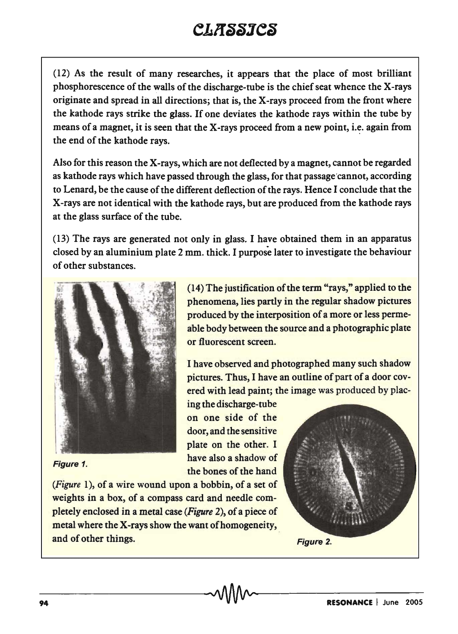(12) As the result of many researches, it appears that the place of most brilliant phosphorescence of the walls of the discharge-tube is the chief seat whence the X-rays originate and spread in all directions; that is, the X-rays proceed from the front where the kathode rays strike the glass. If one deviates the kathode rays within the tube by means of a magnet, it is seen that the X-rays proceed from a new point, i.e. again from the end of the kathode rays.

Also for this reason the X-rays, which are not deflected by a magnet, cannot be regarded as kathode rays which have passed through the glass, for that passage'cannot, according to Lenard, be the cause of the different deflection of the rays. Hence I conclude that the X-rays are not identical with the kathode rays, but are produced from the kathode rays at the glass surface of the tube.

(13) The rays are generated not only in glass. I have obtained them in an apparatus closed by an aluminium plate 2 mm. thick. I purpose later to investigate the behaviour of other substances.



Figure 1.

(14) The justification of the term "rays,» applied to the phenomena, lies partly in the regular shadow pictures produced by the interposition of a more or less permeable body between the source and a photographic plate or fluorescent screen.

I have observed and photographed many such shadow pictures. Thus, I have an outline of part of a door covered with lead paint; the image was produced by plac-

ing the discharge-tube on one side of the door, and the sensitive plate on the other. I have also a shadow of the bones of the hand

*(Figure* 1), of a wire wound upon a bobbin, of a set of weights in a box, of a compass card and needle completely enclosed in a metal case *(Figure* 2), of a piece of metal where the X-rays show the want of homogeneity, and of other things. The contract of the contract of the contract of the contract of the contract of the contract of the contract of the contract of the contract of the contract of the contract of the contract of the contr